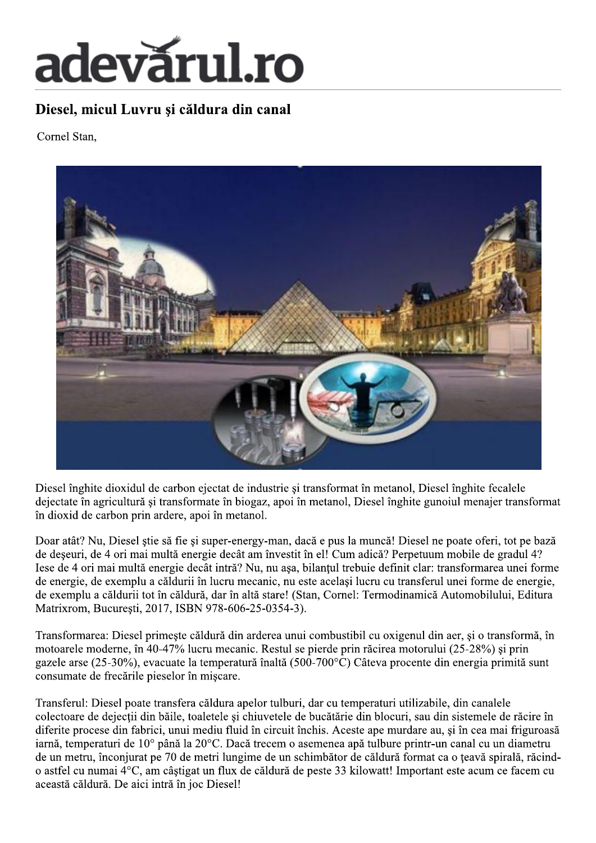## adevărul.ro

## Diesel, micul Luvru și căldura din canal

Cornel Stan,



Diesel înghite dioxidul de carbon ejectat de industrie și transformat în metanol. Diesel înghite fecalele dejectate în agricultură și transformate în biogaz, apoi în metanol, Diesel înghite gunoiul menajer transformat în dioxid de carbon prin ardere, apoi în metanol.

Doar atât? Nu, Diesel știe să fie și super-energy-man, dacă e pus la muncă! Diesel ne poate oferi, tot pe bază de deseuri, de 4 ori mai multă energie decât am învestit în el! Cum adică? Perpetuum mobile de gradul 4? Iese de 4 ori mai multă energie decât intră? Nu, nu asa, bilantul trebuie definit clar: transformarea unei forme de energie, de exemplu a căldurii în lucru mecanic, nu este același lucru cu transferul unei forme de energie, de exemplu a căldurii tot în căldură, dar în altă stare! (Stan, Cornel: Termodinamică Automobilului, Editura Matrixrom, Bucuresti, 2017, ISBN 978-606-25-0354-3).

Transformarea: Diesel primește căldură din arderea unui combustibil cu oxigenul din aer, și o transformă, în motoarele moderne, în 40-47% lucru mecanic. Restul se pierde prin răcirea motorului (25-28%) și prin gazele arse (25-30%), evacuate la temperatură înaltă (500-700 $^{\circ}$ C) Câteva procente din energia primită sunt consumate de frecările pieselor în mișcare.

Transferul: Diesel poate transfera căldura apelor tulburi, dar cu temperaturi utilizabile, din canalele colectoare de dejecții din băile, toaletele și chiuvetele de bucătărie din blocuri, sau din sistemele de răcire în diferite procese din fabrici, unui mediu fluid în circuit închis. Aceste ape murdare au, și în cea mai friguroasă iarnă, temperaturi de 10° până la 20°C. Dacă trecem o asemenea apă tulbure printr-un canal cu un diametru de un metru, înconjurat pe 70 de metri lungime de un schimbător de căldură format ca o țeavă spirală, răcindo astfel cu numai 4°C, am câștigat un flux de căldură de peste 33 kilowatt! Important este acum ce facem cu această căldură. De aici intră în joc Diesel!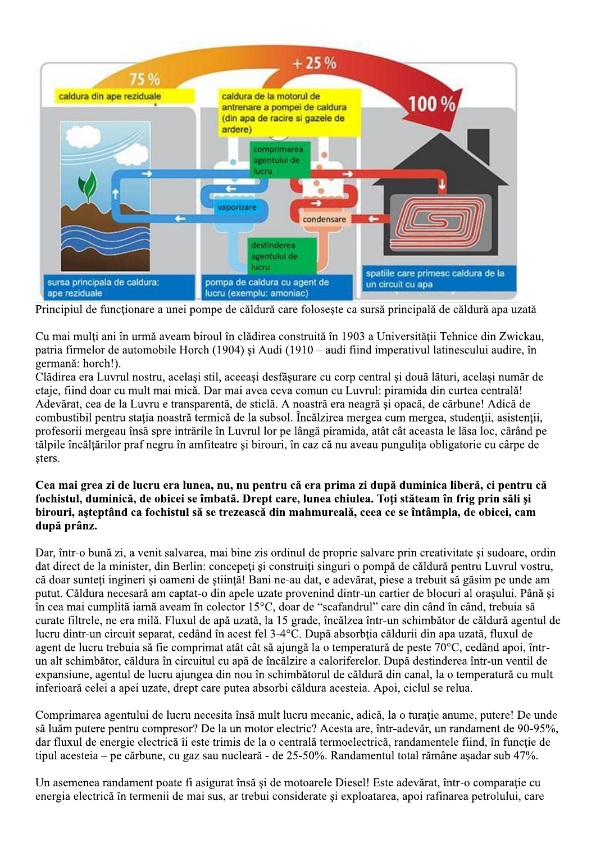

Principiul de functionare a unei pompe de căldură care foloseste ca sursă principală de căldură apa uzată

Cu mai multi ani în urmă aveam biroul în clădirea construită în 1903 a Universitătii Tehnice din Zwickau. patria firmelor de automobile Horch (1904) si Audi (1910 – audi fiind imperativul latinescului audire, în germană: horch!).

e caldura:<br>
e caldura:<br>
e caldura:<br>
e caldura:<br>
e caldura:<br>
e caldura:<br>
e caldura:<br>
e caldura:<br>
e caldura:<br>
e caldura:<br>
e caldura:<br>
e caldura:<br>
e caldura:<br>
e caldura:<br>
e caldura:<br>
e caldura:<br>
e caldura:<br>
e caldura:<br>
e folo sursa principala de caldura:<br>
ape reziduale<br>
Principiul de funcționare a unei pompe de<br>
Cu mai mulți ani în urmă aveam biroul în<br>
patria firmelor de automobile Horch (190<br>
germană: horch!).<br>
Clădirea era Luvrul nostru, ace rea era Luvrul nostru, acelasi stil, aceeasi desfăsurare cu corp central și două lături, acelasi număr de etaie, fiind doar cu mult mai mică. Dar mai avea ceva comun cu Luvrul: piramida din curtea centrală! Adevărat, cea de la Luvru e transparentă, de sticlă. A noastră era neagră și opacă, de cărbune! Adică de combustibil pentru statia noastră termică de la subsol. Încălzirea mergea cum mergea, studentii, asistentii, profesorii mergeau însă spre intrările în Luvrul lor pe lângă piramida, atât cât aceasta le lăsa loc, cărând pe tălpile încăltărilor praf negru în amfiteatre și birouri, în caz că nu aveau pungulita obligatorie cu cârpe de sters.  $\mathcal{L}_{\mathcal{A}}$ 

## Cea mai grea zi de lucru era lunea, nu, nu pentru că era prima zi după duminica liberă, ci pentru că fochistul, duminică, de obicei se îmbată. Drept care, lunea chiulea. Toti stăteam în frig prin săli și birouri, asteptând ca fochistul să se trezească din mahmureală, ceea ce se întâmpla, de obicei, cam după prânz.

Dar, într-o bună zi, a venit salvarea, mai bine zis ordinul de proprie salvare prin creativitate și sudoare, ordin dat direct de la minister, din Berlin: concepeti si construiti singuri o pompă de căldură pentru Luvrul vostru, că doar sunteti ingineri și oameni de stiință! Bani ne-au dat, e adevărat, piese a trebuit să găsim pe unde am putut. Căldura necesară am captat-o din apele uzate provenind dintr-un cartier de blocuri al orașului. Până si m cea mai cumplită iarnă aveam în colector 15 °C, doar de "scafandrul" care din când în când, trebuia să curate filtrele, ne era milă. Fluxul de ană uzată, la 15 grade, încălzea într-un schimbător de căldură agentul de lucru dintr-un circuit separat, cedând în acest fel 3-4 $\degree$ C. Dună absorbtia căldurii din apa uzată, fluxul de agent de lucru trebuia să fie comprimat atât cât să aiungă la o temperatură de peste 70<sup>o</sup>C, cedând apoi, întrun alt schimbător, căldura în circuitul cu apă de încălzire a caloriferelor. După destinderea într-un ventil de  $\alpha$ expansiune, agentul de lucru aiungea din nou în schimbătorul de căldură din canal, la o temperatură cu mult inferioară celei a apei uzate, drept care putea absorbi căldura acesteia. Apoi, ciclul se relua.

Comprimarea agentului de lucru necesita însă mult lucru mecanic, adică, la o turatie anume, putere! De unde să luăm putere pentru compresor? De la un motor electric? Acesta are, într-adevăr, un randament de 90-95%. dar fluxul de energie electrică îi este trimis de la o centrală termoelectrică, randamentele fiind, în functie de tipul acesteia – pe cărbune, cu gaz sau nucleară - de 25-50%. Randamentul total rămâne asadar sub 47%.  $\overline{a}$ 

Un asemenea randament poate fi asigurat însă și de motoarele Diesel! Este adevărat, într-o comparatie cu energia electrică în termenii de mai sus, ar trebui considerate și exploatarea, apoi rafinarea petrolului, care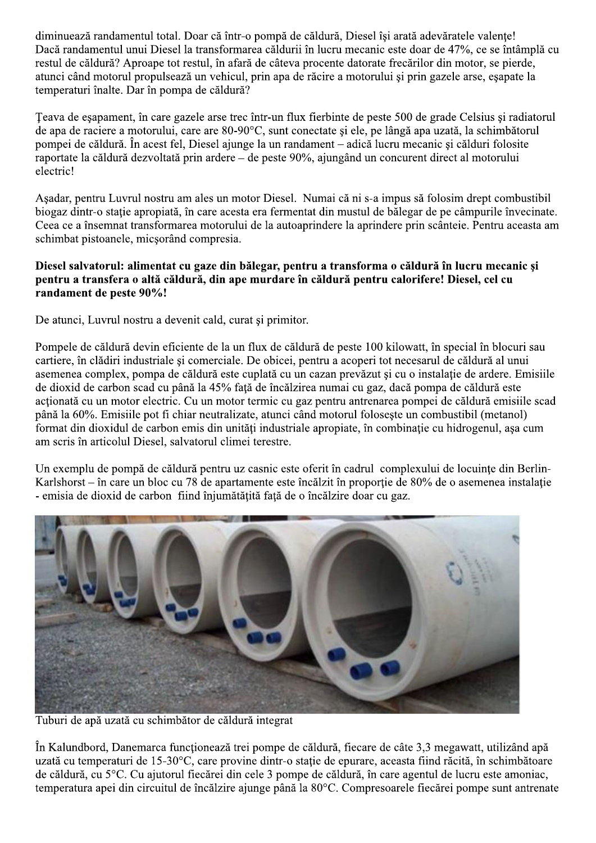diminuează randamentul total. Doar că într-o pompă de căldură, Diesel îsi arată adevăratele valente! Dacă randamentul unui Diesel la transformarea căldurii în lucru mecanic este doar de 47%, ce se întâmplă cu restul de căldură? Aproape tot restul, în afară de câteva procente datorate frecărilor din motor, se pierde, atunci când motorul propulsează un vehicul, prin apa de răcire a motorului și prin gazele arse, esapate la temperaturi înalte. Dar în pompa de căldură?

Teava de esapament, în care gazele arse trec într-un flux fierbinte de peste 500 de grade Celsius și radiatorul de apa de raciere a motorului, care are 80-90°C, sunt conectate și ele, pe lângă apa uzată, la schimbătorul pompei de căldură. În acest fel, Diesel ajunge la un randament – adică lucru mecanic și călduri folosite raportate la căldură dezvoltată prin ardere – de peste 90%, ajungând un concurent direct al motorului electric!

Așadar, pentru Luvrul nostru am ales un motor Diesel. Numai că ni s-a impus să folosim drept combustibil biogaz dintr-o stație apropiată, în care acesta era fermentat din mustul de bălegar de pe câmpurile învecinate. Ceea ce a însemnat transformarea motorului de la autoaprindere la aprindere prin scânteie. Pentru aceasta am schimbat pistoanele, micsorând compresia.

## Diesel salvatorul: alimentat cu gaze din bălegar, pentru a transforma o căldură în lucru mecanic și pentru a transfera o altă căldură, din ape murdare în căldură pentru calorifere! Diesel, cel cu randament de peste 90%!

De atunci, Luvrul nostru a devenit cald, curat si primitor.

Pompele de căldură devin eficiente de la un flux de căldură de peste 100 kilowatt, în special în blocuri sau cartiere, în clădiri industriale și comerciale. De obicei, pentru a acoperi tot necesarul de căldură al unui asemenea complex, pompa de căldură este cuplată cu un cazan prevăzut și cu o instalație de ardere. Emisiile de dioxid de carbon scad cu până la 45% față de încălzirea numai cu gaz, dacă pompa de căldură este actionată cu un motor electric. Cu un motor termic cu gaz pentru antrenarea pompei de căldură emisiile scad până la 60%. Emisiile pot fi chiar neutralizate, atunci când motorul foloseste un combustibil (metanol) format din dioxidul de carbon emis din unități industriale apropiate, în combinație cu hidrogenul, așa cum am scris în articolul Diesel, salvatorul climei terestre.

Un exemplu de pompă de căldură pentru uz casnic este oferit în cadrul complexului de locuinte din Berlin-Karlshorst – în care un bloc cu 78 de apartamente este încălzit în proporție de 80% de o asemenea instalație - emisia de dioxid de carbon fiind înjumătățită față de o încălzire doar cu gaz.



Tuburi de apă uzată cu schimbător de căldură integrat

În Kalundbord, Danemarca funcționează trei pompe de căldură, fiecare de câte 3,3 megawatt, utilizând apă uzată cu temperaturi de 15-30°C, care provine dintr-o stație de epurare, aceasta fiind răcită, în schimbătoare de căldură, cu 5°C. Cu ajutorul fiecărei din cele 3 pompe de căldură, în care agentul de lucru este amoniac, temperatura apei din circuitul de încălzire ajunge până la 80°C. Compresoarele fiecărei pompe sunt antrenate